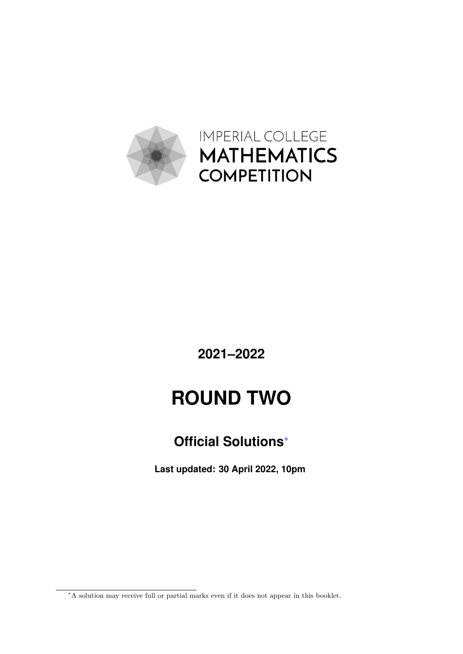

IMPERIAL COLLEGE **MATHEMATICS COMPETITION**

**2021–2022**

# **ROUND TWO**

### **Official Solutions**[∗](#page-0-0)

**Last updated: 30 April 2022, 10pm**

<span id="page-0-0"></span><sup>∗</sup>A solution may receive full or partial marks even if it does not appear in this booklet.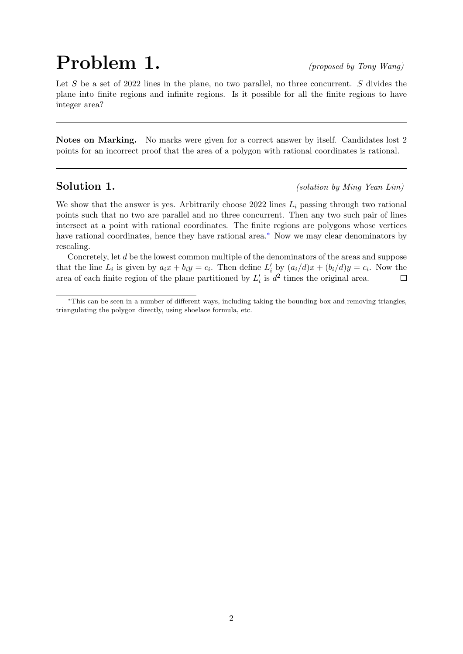# **(proposed by Tony Wang)**

Let S be a set of 2022 lines in the plane, no two parallel, no three concurrent. S divides the plane into finite regions and infinite regions. Is it possible for all the finite regions to have integer area?

Notes on Marking. No marks were given for a correct answer by itself. Candidates lost 2 points for an incorrect proof that the area of a polygon with rational coordinates is rational.

Solution 1. (solution by Ming Yean Lim)

We show that the answer is yes. Arbitrarily choose 2022 lines  $L_i$  passing through two rational points such that no two are parallel and no three concurrent. Then any two such pair of lines intersect at a point with rational coordinates. The finite regions are polygons whose vertices have rational coordinates, hence they have rational area.[∗](#page-1-0) Now we may clear denominators by rescaling.

Concretely, let d be the lowest common multiple of the denominators of the areas and suppose that the line  $L_i$  is given by  $a_i x + b_i y = c_i$ . Then define  $L'_i$  by  $(a_i/d)x + (b_i/d)y = c_i$ . Now the area of each finite region of the plane partitioned by  $L_i'$  is  $d^2$  times the original area.  $\Box$ 

<span id="page-1-0"></span><sup>∗</sup>This can be seen in a number of different ways, including taking the bounding box and removing triangles, triangulating the polygon directly, using shoelace formula, etc.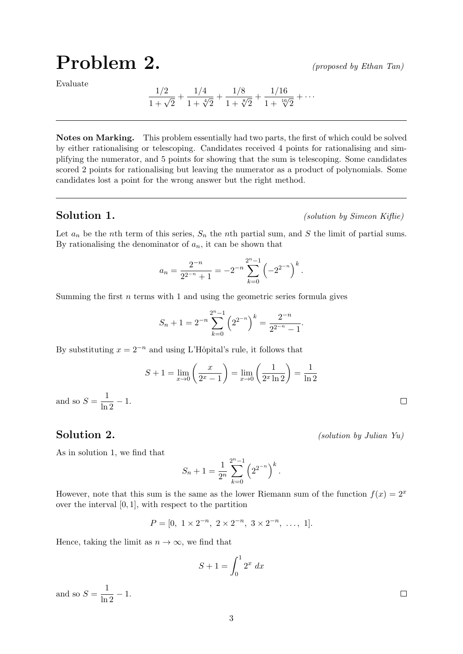### **(proposed by Ethan Tan)**

Evaluate

$$
\frac{1/2}{1+\sqrt{2}} + \frac{1/4}{1+\sqrt[4]{2}} + \frac{1/8}{1+\sqrt[8]{2}} + \frac{1/16}{1+\sqrt[16]{2}} + \cdots
$$

Notes on Marking. This problem essentially had two parts, the first of which could be solved by either rationalising or telescoping. Candidates received 4 points for rationalising and simplifying the numerator, and 5 points for showing that the sum is telescoping. Some candidates scored 2 points for rationalising but leaving the numerator as a product of polynomials. Some candidates lost a point for the wrong answer but the right method.

Solution 1. (solution by Simeon Kiflie)

Let  $a_n$  be the nth term of this series,  $S_n$  the nth partial sum, and S the limit of partial sums. By rationalising the denominator of  $a_n$ , it can be shown that

$$
a_n = \frac{2^{-n}}{2^{2^{-n}} + 1} = -2^{-n} \sum_{k=0}^{2^n - 1} \left( -2^{2^{-n}} \right)^k.
$$

Summing the first  $n$  terms with 1 and using the geometric series formula gives

$$
S_n + 1 = 2^{-n} \sum_{k=0}^{2^n - 1} \left( 2^{2^{-n}} \right)^k = \frac{2^{-n}}{2^{2^{-n}} - 1}.
$$

By substituting  $x = 2^{-n}$  and using L'Hôpital's rule, it follows that

$$
S + 1 = \lim_{x \to 0} \left( \frac{x}{2^x - 1} \right) = \lim_{x \to 0} \left( \frac{1}{2^x \ln 2} \right) = \frac{1}{\ln 2}
$$

and so  $S = \frac{1}{\ln 2} - 1$ .

Solution 2. (*solution 2*.)

As in solution 1, we find that

$$
S_n + 1 = \frac{1}{2^n} \sum_{k=0}^{2^n - 1} \left( 2^{2^{-n}} \right)^k.
$$

However, note that this sum is the same as the lower Riemann sum of the function  $f(x) = 2^x$ over the interval  $[0, 1]$ , with respect to the partition

$$
P = [0, 1 \times 2^{-n}, 2 \times 2^{-n}, 3 \times 2^{-n}, \dots, 1].
$$

Hence, taking the limit as  $n \to \infty$ , we find that

$$
S + 1 = \int_0^1 2^x dx
$$

and so  $S = \frac{1}{\ln 2} - 1$ .

 $\Box$ 

 $\Box$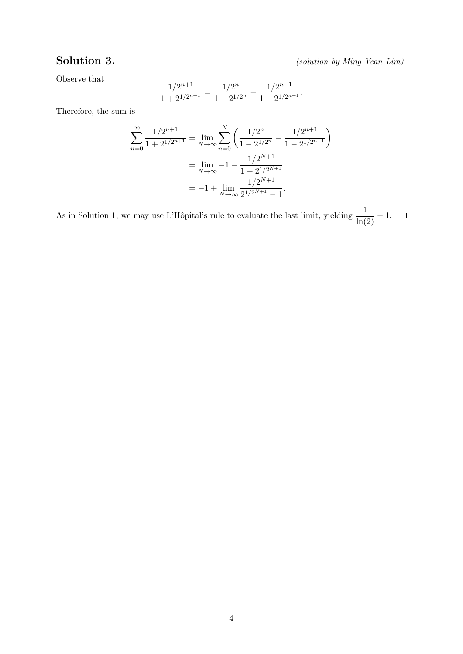Solution 3. (solution by Ming Yean Lim)

Observe that

$$
\frac{1/2^{n+1}}{1+2^{1/2^{n+1}}} = \frac{1/2^n}{1-2^{1/2^n}} - \frac{1/2^{n+1}}{1-2^{1/2^{n+1}}}.
$$

Therefore, the sum is

$$
\sum_{n=0}^{\infty} \frac{1/2^{n+1}}{1+2^{1/2^{n+1}}} = \lim_{N \to \infty} \sum_{n=0}^{N} \left( \frac{1/2^n}{1-2^{1/2^n}} - \frac{1/2^{n+1}}{1-2^{1/2^{n+1}}} \right)
$$

$$
= \lim_{N \to \infty} -1 - \frac{1/2^{N+1}}{1-2^{1/2^{N+1}}}
$$

$$
= -1 + \lim_{N \to \infty} \frac{1/2^{N+1}}{2^{1/2^{N+1}} - 1}.
$$

As in Solution 1, we may use L'Hôpital's rule to evaluate the last limit, yielding  $\frac{1}{\ln(2)} - 1$ .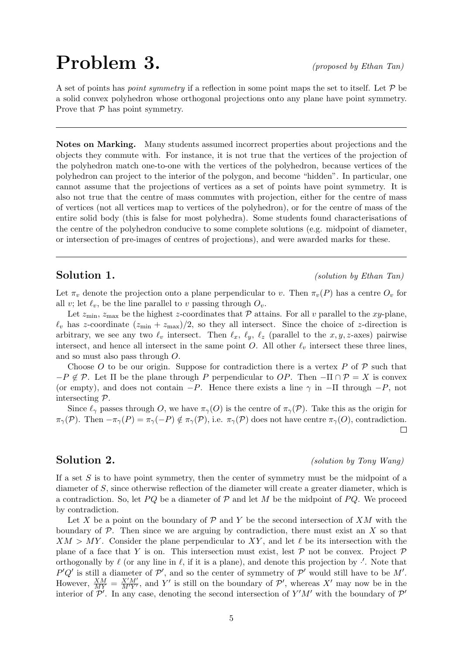## **(proposed by Ethan Tan)**

A set of points has *point symmetry* if a reflection in some point maps the set to itself. Let  $P$  be a solid convex polyhedron whose orthogonal projections onto any plane have point symmetry. Prove that  $P$  has point symmetry.

Notes on Marking. Many students assumed incorrect properties about projections and the objects they commute with. For instance, it is not true that the vertices of the projection of the polyhedron match one-to-one with the vertices of the polyhedron, because vertices of the polyhedron can project to the interior of the polygon, and become "hidden". In particular, one cannot assume that the projections of vertices as a set of points have point symmetry. It is also not true that the centre of mass commutes with projection, either for the centre of mass of vertices (not all vertices map to vertices of the polyhedron), or for the centre of mass of the entire solid body (this is false for most polyhedra). Some students found characterisations of the centre of the polyhedron conducive to some complete solutions (e.g. midpoint of diameter, or intersection of pre-images of centres of projections), and were awarded marks for these.

Solution 1. (solution by Ethan Tan)

Let  $\pi_v$  denote the projection onto a plane perpendicular to v. Then  $\pi_v(P)$  has a centre  $O_v$  for all v; let  $\ell_v$ , be the line parallel to v passing through  $O_v$ .

Let  $z_{\text{min}}$ ,  $z_{\text{max}}$  be the highest z-coordinates that  $P$  attains. For all v parallel to the xy-plane,  $\ell_v$  has z-coordinate  $(z_{\text{min}} + z_{\text{max}})/2$ , so they all intersect. Since the choice of z-direction is arbitrary, we see any two  $\ell_v$  intersect. Then  $\ell_x$ ,  $\ell_y$ ,  $\ell_z$  (parallel to the x, y, z-axes) pairwise intersect, and hence all intersect in the same point O. All other  $\ell_v$  intersect these three lines, and so must also pass through O.

Choose O to be our origin. Suppose for contradiction there is a vertex P of  $\mathcal P$  such that  $-P \notin \mathcal{P}$ . Let  $\Pi$  be the plane through P perpendicular to OP. Then  $-\Pi \cap \mathcal{P} = X$  is convex (or empty), and does not contain  $-P$ . Hence there exists a line  $\gamma$  in  $-\Pi$  through  $-P$ , not intersecting P.

Since  $\ell_{\gamma}$  passes through O, we have  $\pi_{\gamma}(O)$  is the centre of  $\pi_{\gamma}(P)$ . Take this as the origin for  $\pi_\gamma(\mathcal{P})$ . Then  $-\pi_\gamma(P) = \pi_\gamma(-P) \notin \pi_\gamma(\mathcal{P})$ , i.e.  $\pi_\gamma(\mathcal{P})$  does not have centre  $\pi_\gamma(O)$ , contradiction.  $\Box$ 

Solution 2. (solution by Tony Wang)

If a set  $S$  is to have point symmetry, then the center of symmetry must be the midpoint of a diameter of S, since otherwise reflection of the diameter will create a greater diameter, which is a contradiction. So, let  $PQ$  be a diameter of  $P$  and let M be the midpoint of  $PQ$ . We proceed by contradiction.

Let X be a point on the boundary of  $\mathcal P$  and Y be the second intersection of XM with the boundary of  $P$ . Then since we are arguing by contradiction, there must exist an  $X$  so that  $XM > MY$ . Consider the plane perpendicular to XY, and let  $\ell$  be its intersection with the plane of a face that Y is on. This intersection must exist, lest  $P$  not be convex. Project  $P$ orthogonally by  $\ell$  (or any line in  $\ell$ , if it is a plane), and denote this projection by  $\cdot'$ . Note that P'Q' is still a diameter of  $\mathcal{P}'$ , and so the center of symmetry of  $\mathcal{P}'$  would still have to be M'. However,  $\frac{XM}{MY} = \frac{X'M'}{M'Y'}$ , and Y' is still on the boundary of P', whereas X' may now be in the interior of  $\mathcal{P}'$ . In any case, denoting the second intersection of Y'M' with the boundary of  $\mathcal{P}'$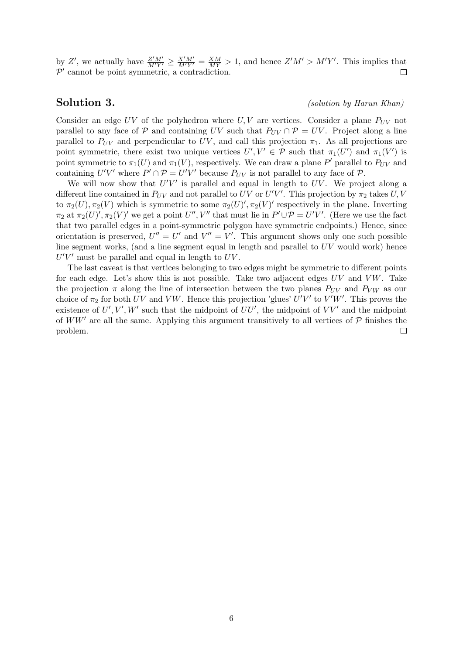by Z', we actually have  $\frac{Z'M'}{M'Y'} \ge \frac{X'M'}{M'Y'} = \frac{XM}{MY} > 1$ , and hence  $Z'M' > M'Y'$ . This implies that  $P'$  cannot be point symmetric, a contradiction.  $\Box$ 

### Solution 3. (*solution 3*.)

Consider an edge  $UV$  of the polyhedron where  $U, V$  are vertices. Consider a plane  $P_{UV}$  not parallel to any face of P and containing UV such that  $P_{UV} \cap \mathcal{P} = UV$ . Project along a line parallel to  $P_{UV}$  and perpendicular to UV, and call this projection  $\pi_1$ . As all projections are point symmetric, there exist two unique vertices  $U', V' \in \mathcal{P}$  such that  $\pi_1(U')$  and  $\pi_1(V')$  is point symmetric to  $\pi_1(U)$  and  $\pi_1(V)$ , respectively. We can draw a plane P' parallel to  $P_{UV}$  and containing  $U'V'$  where  $P' \cap P = U'V'$  because  $P_{UV}$  is not parallel to any face of  $P$ .

We will now show that  $U'V'$  is parallel and equal in length to  $UV$ . We project along a different line contained in  $P_{UV}$  and not parallel to UV or U'V'. This projection by  $\pi_2$  takes U, V to  $\pi_2(U), \pi_2(V)$  which is symmetric to some  $\pi_2(U)'$ ,  $\pi_2(V)'$  respectively in the plane. Inverting  $\pi_2$  at  $\pi_2(U)'$ ,  $\pi_2(V)'$  we get a point  $U''$ ,  $V''$  that must lie in  $P' \cup P = U'V'$ . (Here we use the fact that two parallel edges in a point-symmetric polygon have symmetric endpoints.) Hence, since orientation is preserved,  $U'' = U'$  and  $V'' = V'$ . This argument shows only one such possible line segment works, (and a line segment equal in length and parallel to  $UV$  would work) hence  $U'V'$  must be parallel and equal in length to  $UV$ .

The last caveat is that vertices belonging to two edges might be symmetric to different points for each edge. Let's show this is not possible. Take two adjacent edges  $UV$  and  $VW$ . Take the projection  $\pi$  along the line of intersection between the two planes  $P_{UV}$  and  $P_{VW}$  as our choice of  $\pi_2$  for both UV and VW. Hence this projection 'glues' U'V' to V'W'. This proves the existence of  $U', V', W'$  such that the midpoint of  $UU'$ , the midpoint of  $VV'$  and the midpoint of WW' are all the same. Applying this argument transitively to all vertices of  $\mathcal P$  finishes the problem.  $\Box$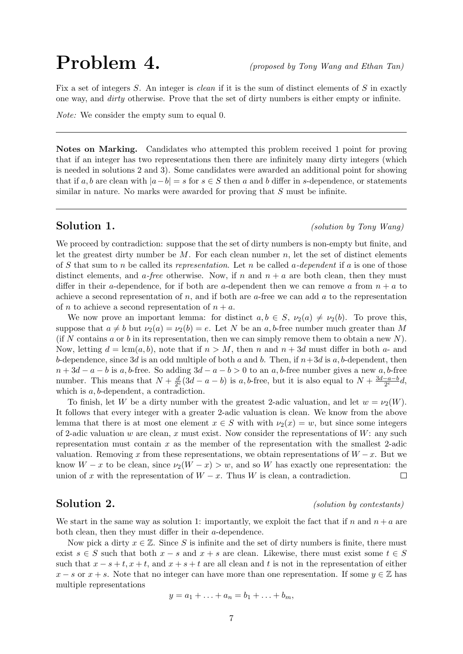## **(proposed by Tony Wang and Ethan Tan)**

Fix a set of integers S. An integer is clean if it is the sum of distinct elements of S in exactly one way, and dirty otherwise. Prove that the set of dirty numbers is either empty or infinite.

Note: We consider the empty sum to equal 0.

Notes on Marking. Candidates who attempted this problem received 1 point for proving that if an integer has two representations then there are infinitely many dirty integers (which is needed in solutions 2 and 3). Some candidates were awarded an additional point for showing that if a, b are clean with  $|a-b| = s$  for  $s \in S$  then a and b differ in s-dependence, or statements similar in nature. No marks were awarded for proving that S must be infinite.

Solution 1. (solution by Tony Wang)

We proceed by contradiction: suppose that the set of dirty numbers is non-empty but finite, and let the greatest dirty number be  $M$ . For each clean number  $n$ , let the set of distinct elements of S that sum to n be called its representation. Let n be called a-dependent if a is one of those distinct elements, and a-free otherwise. Now, if n and  $n + a$  are both clean, then they must differ in their a-dependence, for if both are a-dependent then we can remove a from  $n + a$  to achieve a second representation of  $n$ , and if both are  $a$ -free we can add  $a$  to the representation of *n* to achieve a second representation of  $n + a$ .

We now prove an important lemma: for distinct  $a, b \in S$ ,  $\nu_2(a) \neq \nu_2(b)$ . To prove this, suppose that  $a \neq b$  but  $\nu_2(a) = \nu_2(b) = e$ . Let N be an a, b-free number much greater than M (if N contains a or b in its representation, then we can simply remove them to obtain a new N). Now, letting  $d = \text{lcm}(a, b)$ , note that if  $n > M$ , then n and  $n + 3d$  must differ in both a- and b-dependence, since 3d is an odd multiple of both a and b. Then, if  $n+3d$  is a, b-dependent, then  $n+3d-a-b$  is a, b-free. So adding  $3d-a-b>0$  to an a, b-free number gives a new a, b-free number. This means that  $N + \frac{d}{2\epsilon}$  $\frac{d}{2^e}$  (3d – a – b) is a, b-free, but it is also equal to  $N + \frac{3d-a-b}{2^e}$  $\frac{-a-b}{2^e}d,$ which is  $a, b$ -dependent, a contradiction.

To finish, let W be a dirty number with the greatest 2-adic valuation, and let  $w = \nu_2(W)$ . It follows that every integer with a greater 2-adic valuation is clean. We know from the above lemma that there is at most one element  $x \in S$  with with  $\nu_2(x) = w$ , but since some integers of 2-adic valuation w are clean, x must exist. Now consider the representations of  $W$ : any such representation must contain x as the member of the representation with the smallest 2-adic valuation. Removing x from these representations, we obtain representations of  $W - x$ . But we know  $W - x$  to be clean, since  $\nu_2(W - x) > w$ , and so W has exactly one representation: the union of x with the representation of  $W - x$ . Thus W is clean, a contradiction.  $\Box$ 

### Solution 2. (solution by contestants)

We start in the same way as solution 1: importantly, we exploit the fact that if n and  $n + a$  are both clean, then they must differ in their a-dependence.

Now pick a dirty  $x \in \mathbb{Z}$ . Since S is infinite and the set of dirty numbers is finite, there must exist  $s \in S$  such that both  $x - s$  and  $x + s$  are clean. Likewise, there must exist some  $t \in S$ such that  $x - s + t$ ,  $x + t$ , and  $x + s + t$  are all clean and t is not in the representation of either  $x - s$  or  $x + s$ . Note that no integer can have more than one representation. If some  $y \in \mathbb{Z}$  has multiple representations

$$
y = a_1 + \ldots + a_n = b_1 + \ldots + b_m,
$$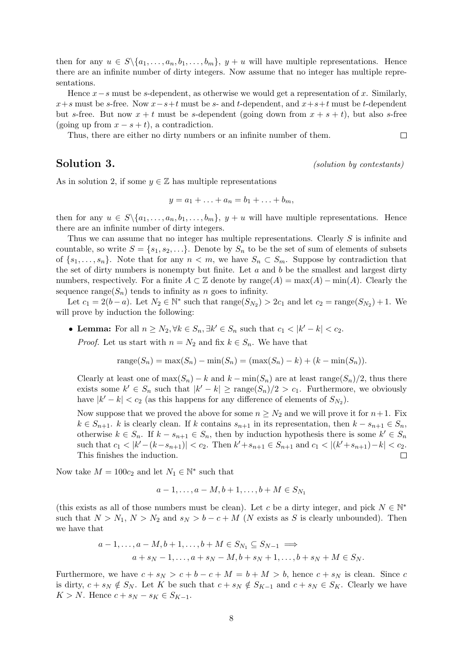then for any  $u \in S \setminus \{a_1, \ldots, a_n, b_1, \ldots, b_m\}, y + u$  will have multiple representations. Hence there are an infinite number of dirty integers. Now assume that no integer has multiple representations.

Hence  $x-s$  must be s-dependent, as otherwise we would get a representation of x. Similarly,  $x+s$  must be s-free. Now  $x-s+t$  must be s- and t-dependent, and  $x+s+t$  must be t-dependent but s-free. But now  $x + t$  must be s-dependent (going down from  $x + s + t$ ), but also s-free (going up from  $x - s + t$ ), a contradiction.

Thus, there are either no dirty numbers or an infinite number of them.

Solution 3. (solution by contestants)

 $\Box$ 

As in solution 2, if some  $y \in \mathbb{Z}$  has multiple representations

$$
y = a_1 + \ldots + a_n = b_1 + \ldots + b_m,
$$

then for any  $u \in S \setminus \{a_1, \ldots, a_n, b_1, \ldots, b_m\}, y + u$  will have multiple representations. Hence there are an infinite number of dirty integers.

Thus we can assume that no integer has multiple representations. Clearly  $S$  is infinite and countable, so write  $S = \{s_1, s_2, \ldots\}$ . Denote by  $S_n$  to be the set of sum of elements of subsets of  $\{s_1, \ldots, s_n\}$ . Note that for any  $n < m$ , we have  $S_n \subset S_m$ . Suppose by contradiction that the set of dirty numbers is nonempty but finite. Let  $a$  and  $b$  be the smallest and largest dirty numbers, respectively. For a finite  $A \subset \mathbb{Z}$  denote by range $(A) = \max(A) - \min(A)$ . Clearly the sequence range( $S_n$ ) tends to infinity as n goes to infinity.

Let  $c_1 = 2(b - a)$ . Let  $N_2 \in \mathbb{N}^*$  such that  $\text{range}(S_{N_2}) > 2c_1$  and let  $c_2 = \text{range}(S_{N_2}) + 1$ . We will prove by induction the following:

• Lemma: For all  $n \geq N_2, \forall k \in S_n, \exists k' \in S_n$  such that  $c_1 < |k' - k| < c_2$ .

*Proof.* Let us start with  $n = N_2$  and fix  $k \in S_n$ . We have that

range
$$
(S_n)
$$
 = max $(S_n)$  - min $(S_n)$  = (max $(S_n)$  - k) + (k - min $(S_n)$ ).

Clearly at least one of  $\max(S_n) - k$  and  $k - \min(S_n)$  are at least range $(S_n)/2$ , thus there exists some  $k' \in S_n$  such that  $|k'-k| \geq \text{range}(S_n)/2 > c_1$ . Furthermore, we obviously have  $|k'-k| < c_2$  (as this happens for any difference of elements of  $S_{N_2}$ ).

Now suppose that we proved the above for some  $n \geq N_2$  and we will prove it for  $n+1$ . Fix  $k \in S_{n+1}$ . k is clearly clean. If k contains  $s_{n+1}$  in its representation, then  $k - s_{n+1} \in S_n$ , otherwise  $k \in S_n$ . If  $k - s_{n+1} \in S_n$ , then by induction hypothesis there is some  $k' \in S_n$ such that  $c_1 < |k'-(k-s_{n+1})| < c_2$ . Then  $k' + s_{n+1} \in S_{n+1}$  and  $c_1 < |(k' + s_{n+1}) - k| < c_2$ . This finishes the induction.

Now take  $M = 100c_2$  and let  $N_1 \in \mathbb{N}^*$  such that

$$
a-1,\ldots,a-M,b+1,\ldots,b+M\in S_{N_1}
$$

(this exists as all of those numbers must be clean). Let c be a dirty integer, and pick  $N \in \mathbb{N}^*$ such that  $N > N_1$ ,  $N > N_2$  and  $s_N > b - c + M$  (N exists as S is clearly unbounded). Then we have that

$$
a-1,\ldots,a-M,b+1,\ldots,b+M\in S_{N_1}\subseteq S_{N-1}\implies
$$
  

$$
a+s_N-1,\ldots,a+s_N-M,b+s_N+1,\ldots,b+s_N+M\in S_N.
$$

Furthermore, we have  $c + s_N > c + b - c + M = b + M > b$ , hence  $c + s_N$  is clean. Since c is dirty,  $c + s_N \notin S_N$ . Let K be such that  $c + s_N \notin S_{K-1}$  and  $c + s_N \in S_K$ . Clearly we have  $K > N$ . Hence  $c + s_N - s_K \in S_{K-1}$ .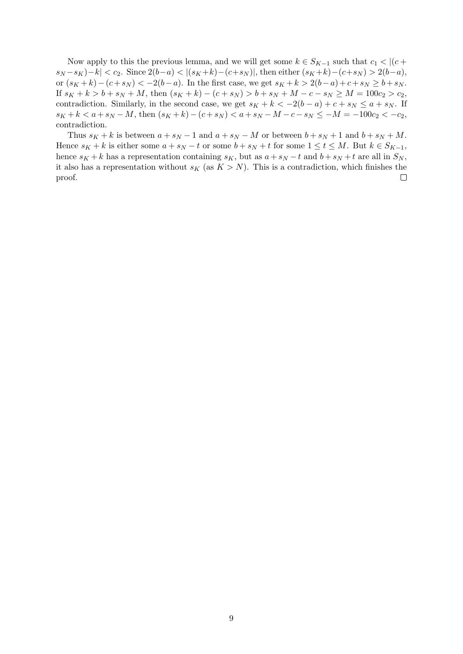Now apply to this the previous lemma, and we will get some  $k \in S_{K-1}$  such that  $c_1 < |(c +$  $|s_N - s_K| - k| < c_2$ . Since  $2(b-a) < |(s_K + k) - (c+s_N)|$ , then either  $(s_K + k) - (c+s_N) > 2(b-a)$ , or  $(s_K + k) - (c + s_N) < -2(b - a)$ . In the first case, we get  $s_K + k > 2(b - a) + c + s_N \ge b + s_N$ . If  $s_K + k > b + s_N + M$ , then  $(s_K + k) - (c + s_N) > b + s_N + M - c - s_N \ge M = 100c_2 > c_2$ , contradiction. Similarly, in the second case, we get  $s_K + k < -2(b - a) + c + s_N \le a + s_N$ . If  $s_K + k < a + s_N - M$ , then  $(s_K + k) - (c + s_N) < a + s_N - M - c - s_N \leq -M = -100c_2 < -c_2$ , contradiction.

Thus  $s_K + k$  is between  $a + s_N - 1$  and  $a + s_N - M$  or between  $b + s_N + 1$  and  $b + s_N + M$ . Hence  $s_K + k$  is either some  $a + s_N - t$  or some  $b + s_N + t$  for some  $1 \le t \le M$ . But  $k \in S_{K-1}$ , hence  $s_K + k$  has a representation containing  $s_K$ , but as  $a + s_N - t$  and  $b + s_N + t$  are all in  $S_N$ , it also has a representation without  $s_K$  (as  $K > N$ ). This is a contradiction, which finishes the proof.  $\Box$